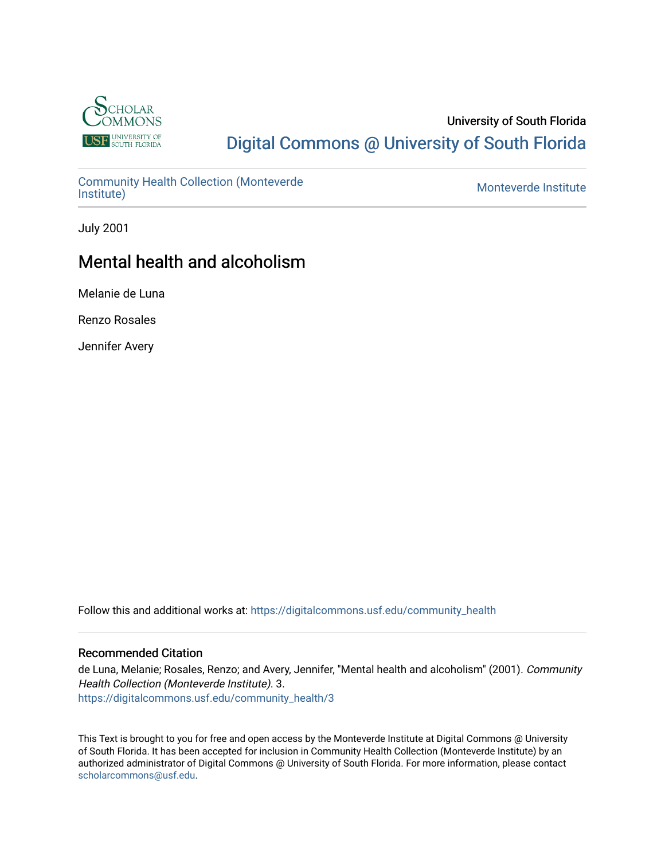

#### University of South Florida [Digital Commons @ University of South Florida](https://digitalcommons.usf.edu/)

[Community Health Collection \(Monteverde](https://digitalcommons.usf.edu/community_health) [Institute\)](https://digitalcommons.usf.edu/community_health) [Monteverde Institute](https://digitalcommons.usf.edu/monteverde) 

July 2001

## Mental health and alcoholism

Melanie de Luna

Renzo Rosales

Jennifer Avery

Follow this and additional works at: [https://digitalcommons.usf.edu/community\\_health](https://digitalcommons.usf.edu/community_health?utm_source=digitalcommons.usf.edu%2Fcommunity_health%2F3&utm_medium=PDF&utm_campaign=PDFCoverPages) 

#### Recommended Citation

de Luna, Melanie; Rosales, Renzo; and Avery, Jennifer, "Mental health and alcoholism" (2001). Community Health Collection (Monteverde Institute). 3. [https://digitalcommons.usf.edu/community\\_health/3](https://digitalcommons.usf.edu/community_health/3?utm_source=digitalcommons.usf.edu%2Fcommunity_health%2F3&utm_medium=PDF&utm_campaign=PDFCoverPages) 

This Text is brought to you for free and open access by the Monteverde Institute at Digital Commons @ University of South Florida. It has been accepted for inclusion in Community Health Collection (Monteverde Institute) by an authorized administrator of Digital Commons @ University of South Florida. For more information, please contact [scholarcommons@usf.edu.](mailto:scholarcommons@usf.edu)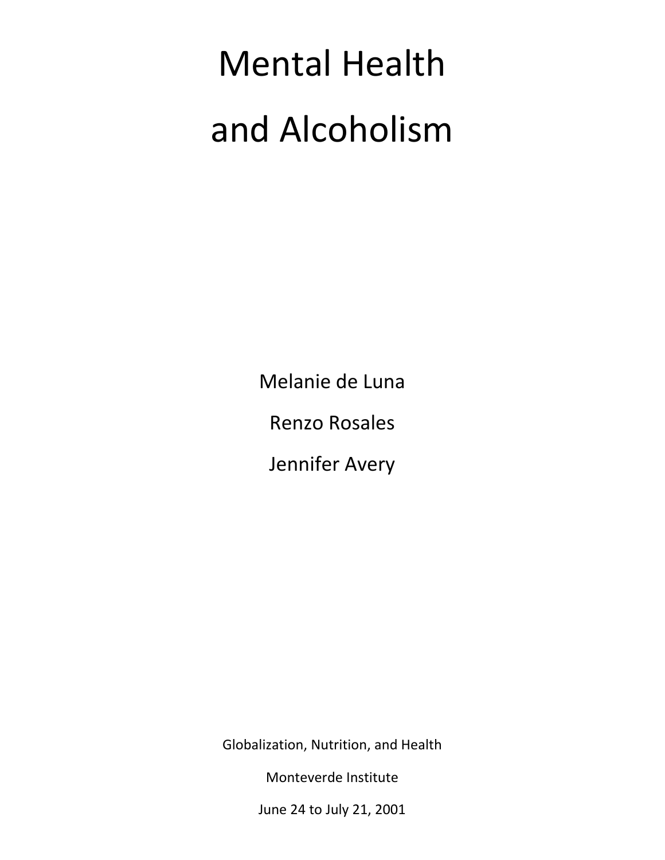# Mental Health and Alcoholism

Melanie de Luna

Renzo Rosales

Jennifer Avery

Globalization, Nutrition, and Health

Monteverde Institute

June 24 to July 21, 2001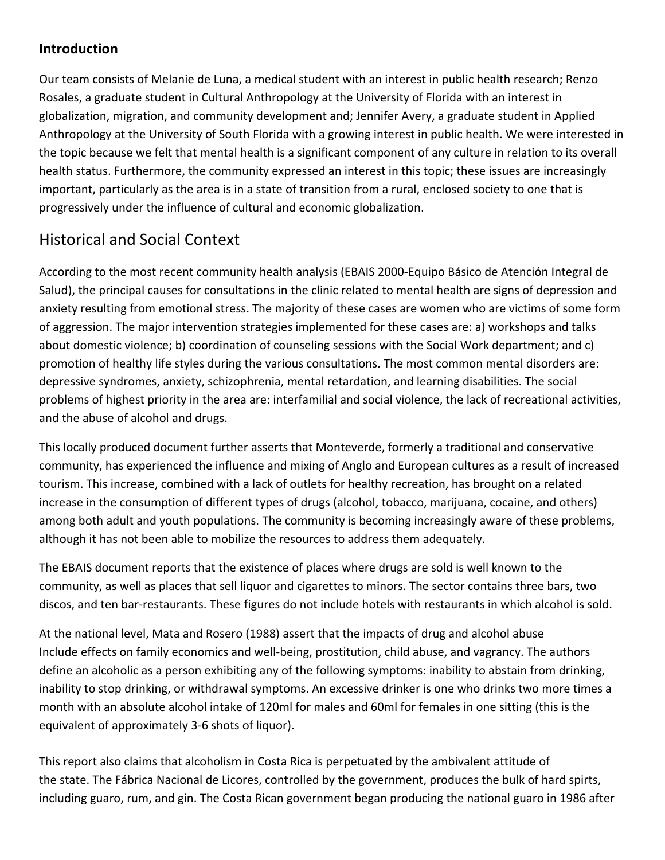#### **Introduction**

Our team consists of Melanie de Luna, a medical student with an interest in public health research; Renzo Rosales, a graduate student in Cultural Anthropology at the University of Florida with an interest in globalization, migration, and community development and; Jennifer Avery, a graduate student in Applied Anthropology at the University of South Florida with a growing interest in public health. We were interested in the topic because we felt that mental health is a significant component of any culture in relation to its overall health status. Furthermore, the community expressed an interest in this topic; these issues are increasingly important, particularly as the area is in a state of transition from a rural, enclosed society to one that is progressively under the influence of cultural and economic globalization.

### Historical and Social Context

According to the most recent community health analysis (EBAIS 2000‐Equipo Básico de Atención Integral de Salud), the principal causes for consultations in the clinic related to mental health are signs of depression and anxiety resulting from emotional stress. The majority of these cases are women who are victims of some form of aggression. The major intervention strategies implemented for these cases are: a) workshops and talks about domestic violence; b) coordination of counseling sessions with the Social Work department; and c) promotion of healthy life styles during the various consultations. The most common mental disorders are: depressive syndromes, anxiety, schizophrenia, mental retardation, and learning disabilities. The social problems of highest priority in the area are: interfamilial and social violence, the lack of recreational activities, and the abuse of alcohol and drugs.

This locally produced document further asserts that Monteverde, formerly a traditional and conservative community, has experienced the influence and mixing of Anglo and European cultures as a result of increased tourism. This increase, combined with a lack of outlets for healthy recreation, has brought on a related increase in the consumption of different types of drugs (alcohol, tobacco, marijuana, cocaine, and others) among both adult and youth populations. The community is becoming increasingly aware of these problems, although it has not been able to mobilize the resources to address them adequately.

The EBAIS document reports that the existence of places where drugs are sold is well known to the community, as well as places that sell liquor and cigarettes to minors. The sector contains three bars, two discos, and ten bar‐restaurants. These figures do not include hotels with restaurants in which alcohol is sold.

At the national level, Mata and Rosero (1988) assert that the impacts of drug and alcohol abuse Include effects on family economics and well‐being, prostitution, child abuse, and vagrancy. The authors define an alcoholic as a person exhibiting any of the following symptoms: inability to abstain from drinking, inability to stop drinking, or withdrawal symptoms. An excessive drinker is one who drinks two more times a month with an absolute alcohol intake of 120ml for males and 60ml for females in one sitting (this is the equivalent of approximately 3‐6 shots of liquor).

This report also claims that alcoholism in Costa Rica is perpetuated by the ambivalent attitude of the state. The Fábrica Nacional de Licores, controlled by the government, produces the bulk of hard spirts, including guaro, rum, and gin. The Costa Rican government began producing the national guaro in 1986 after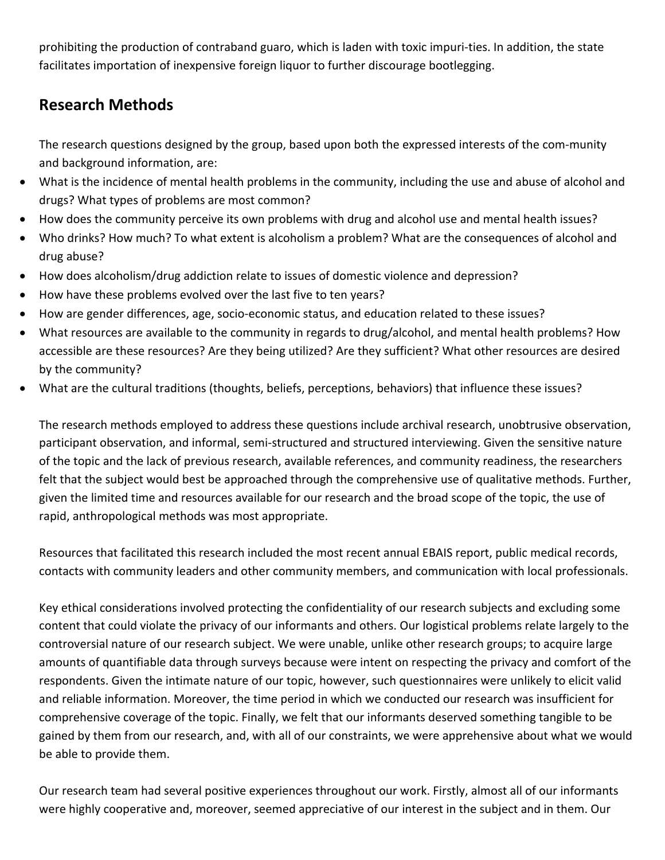prohibiting the production of contraband guaro, which is laden with toxic impuri‐ties. In addition, the state facilitates importation of inexpensive foreign liquor to further discourage bootlegging.

#### **Research Methods**

The research questions designed by the group, based upon both the expressed interests of the com-munity and background information, are:

- What is the incidence of mental health problems in the community, including the use and abuse of alcohol and drugs? What types of problems are most common?
- How does the community perceive its own problems with drug and alcohol use and mental health issues?
- Who drinks? How much? To what extent is alcoholism a problem? What are the consequences of alcohol and drug abuse?
- How does alcoholism/drug addiction relate to issues of domestic violence and depression?
- How have these problems evolved over the last five to ten years?
- How are gender differences, age, socio‐economic status, and education related to these issues?
- What resources are available to the community in regards to drug/alcohol, and mental health problems? How accessible are these resources? Are they being utilized? Are they sufficient? What other resources are desired by the community?
- What are the cultural traditions (thoughts, beliefs, perceptions, behaviors) that influence these issues?

The research methods employed to address these questions include archival research, unobtrusive observation, participant observation, and informal, semi‐structured and structured interviewing. Given the sensitive nature of the topic and the lack of previous research, available references, and community readiness, the researchers felt that the subject would best be approached through the comprehensive use of qualitative methods. Further, given the limited time and resources available for our research and the broad scope of the topic, the use of rapid, anthropological methods was most appropriate.

Resources that facilitated this research included the most recent annual EBAIS report, public medical records, contacts with community leaders and other community members, and communication with local professionals.

Key ethical considerations involved protecting the confidentiality of our research subjects and excluding some content that could violate the privacy of our informants and others. Our logistical problems relate largely to the controversial nature of our research subject. We were unable, unlike other research groups; to acquire large amounts of quantifiable data through surveys because were intent on respecting the privacy and comfort of the respondents. Given the intimate nature of our topic, however, such questionnaires were unlikely to elicit valid and reliable information. Moreover, the time period in which we conducted our research was insufficient for comprehensive coverage of the topic. Finally, we felt that our informants deserved something tangible to be gained by them from our research, and, with all of our constraints, we were apprehensive about what we would be able to provide them.

Our research team had several positive experiences throughout our work. Firstly, almost all of our informants were highly cooperative and, moreover, seemed appreciative of our interest in the subject and in them. Our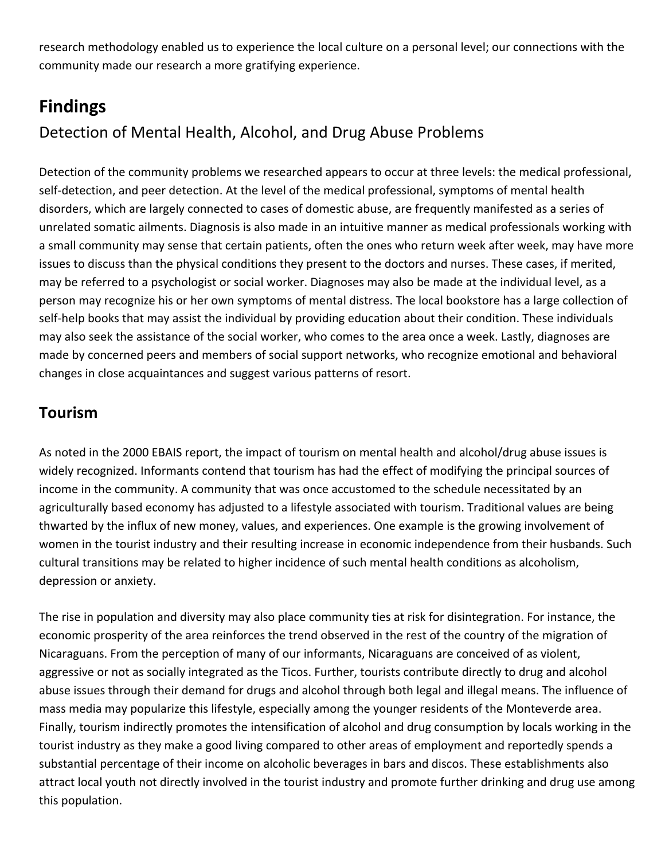research methodology enabled us to experience the local culture on a personal level; our connections with the community made our research a more gratifying experience.

# **Findings**

# Detection of Mental Health, Alcohol, and Drug Abuse Problems

Detection of the community problems we researched appears to occur at three levels: the medical professional, self-detection, and peer detection. At the level of the medical professional, symptoms of mental health disorders, which are largely connected to cases of domestic abuse, are frequently manifested as a series of unrelated somatic ailments. Diagnosis is also made in an intuitive manner as medical professionals working with a small community may sense that certain patients, often the ones who return week after week, may have more issues to discuss than the physical conditions they present to the doctors and nurses. These cases, if merited, may be referred to a psychologist or social worker. Diagnoses may also be made at the individual level, as a person may recognize his or her own symptoms of mental distress. The local bookstore has a large collection of self-help books that may assist the individual by providing education about their condition. These individuals may also seek the assistance of the social worker, who comes to the area once a week. Lastly, diagnoses are made by concerned peers and members of social support networks, who recognize emotional and behavioral changes in close acquaintances and suggest various patterns of resort.

## **Tourism**

As noted in the 2000 EBAIS report, the impact of tourism on mental health and alcohol/drug abuse issues is widely recognized. Informants contend that tourism has had the effect of modifying the principal sources of income in the community. A community that was once accustomed to the schedule necessitated by an agriculturally based economy has adjusted to a lifestyle associated with tourism. Traditional values are being thwarted by the influx of new money, values, and experiences. One example is the growing involvement of women in the tourist industry and their resulting increase in economic independence from their husbands. Such cultural transitions may be related to higher incidence of such mental health conditions as alcoholism, depression or anxiety.

The rise in population and diversity may also place community ties at risk for disintegration. For instance, the economic prosperity of the area reinforces the trend observed in the rest of the country of the migration of Nicaraguans. From the perception of many of our informants, Nicaraguans are conceived of as violent, aggressive or not as socially integrated as the Ticos. Further, tourists contribute directly to drug and alcohol abuse issues through their demand for drugs and alcohol through both legal and illegal means. The influence of mass media may popularize this lifestyle, especially among the younger residents of the Monteverde area. Finally, tourism indirectly promotes the intensification of alcohol and drug consumption by locals working in the tourist industry as they make a good living compared to other areas of employment and reportedly spends a substantial percentage of their income on alcoholic beverages in bars and discos. These establishments also attract local youth not directly involved in the tourist industry and promote further drinking and drug use among this population.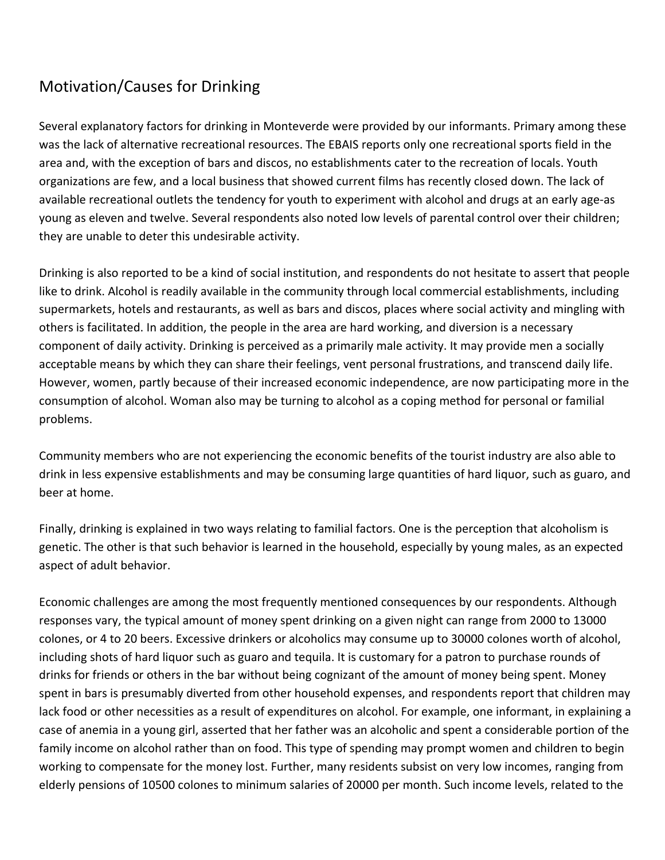# Motivation/Causes for Drinking

Several explanatory factors for drinking in Monteverde were provided by our informants. Primary among these was the lack of alternative recreational resources. The EBAIS reports only one recreational sports field in the area and, with the exception of bars and discos, no establishments cater to the recreation of locals. Youth organizations are few, and a local business that showed current films has recently closed down. The lack of available recreational outlets the tendency for youth to experiment with alcohol and drugs at an early age‐as young as eleven and twelve. Several respondents also noted low levels of parental control over their children; they are unable to deter this undesirable activity.

Drinking is also reported to be a kind of social institution, and respondents do not hesitate to assert that people like to drink. Alcohol is readily available in the community through local commercial establishments, including supermarkets, hotels and restaurants, as well as bars and discos, places where social activity and mingling with others is facilitated. In addition, the people in the area are hard working, and diversion is a necessary component of daily activity. Drinking is perceived as a primarily male activity. It may provide men a socially acceptable means by which they can share their feelings, vent personal frustrations, and transcend daily life. However, women, partly because of their increased economic independence, are now participating more in the consumption of alcohol. Woman also may be turning to alcohol as a coping method for personal or familial problems.

Community members who are not experiencing the economic benefits of the tourist industry are also able to drink in less expensive establishments and may be consuming large quantities of hard liquor, such as guaro, and beer at home.

Finally, drinking is explained in two ways relating to familial factors. One is the perception that alcoholism is genetic. The other is that such behavior is learned in the household, especially by young males, as an expected aspect of adult behavior.

Economic challenges are among the most frequently mentioned consequences by our respondents. Although responses vary, the typical amount of money spent drinking on a given night can range from 2000 to 13000 colones, or 4 to 20 beers. Excessive drinkers or alcoholics may consume up to 30000 colones worth of alcohol, including shots of hard liquor such as guaro and tequila. It is customary for a patron to purchase rounds of drinks for friends or others in the bar without being cognizant of the amount of money being spent. Money spent in bars is presumably diverted from other household expenses, and respondents report that children may lack food or other necessities as a result of expenditures on alcohol. For example, one informant, in explaining a case of anemia in a young girl, asserted that her father was an alcoholic and spent a considerable portion of the family income on alcohol rather than on food. This type of spending may prompt women and children to begin working to compensate for the money lost. Further, many residents subsist on very low incomes, ranging from elderly pensions of 10500 colones to minimum salaries of 20000 per month. Such income levels, related to the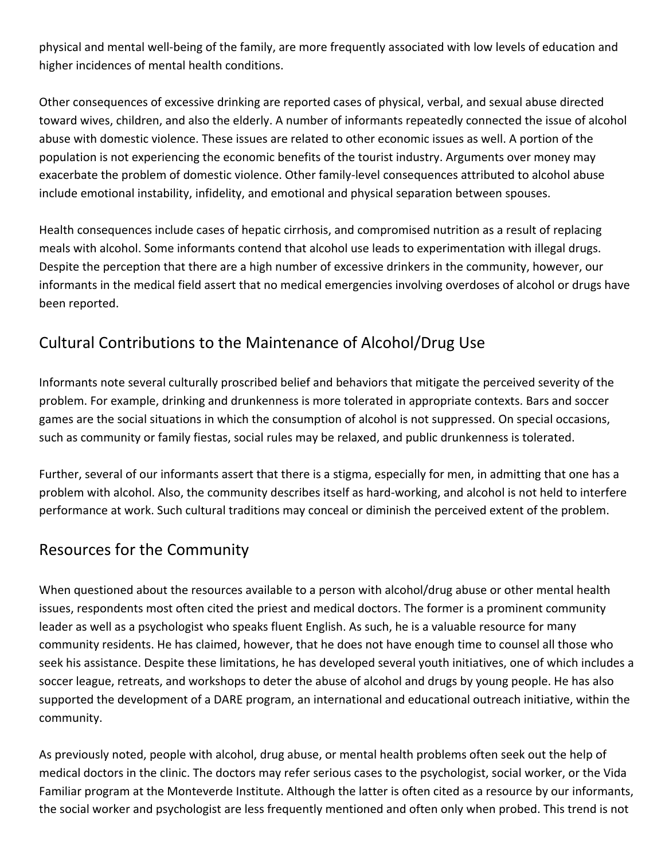physical and mental well‐being of the family, are more frequently associated with low levels of education and higher incidences of mental health conditions.

Other consequences of excessive drinking are reported cases of physical, verbal, and sexual abuse directed toward wives, children, and also the elderly. A number of informants repeatedly connected the issue of alcohol abuse with domestic violence. These issues are related to other economic issues as well. A portion of the population is not experiencing the economic benefits of the tourist industry. Arguments over money may exacerbate the problem of domestic violence. Other family‐level consequences attributed to alcohol abuse include emotional instability, infidelity, and emotional and physical separation between spouses.

Health consequences include cases of hepatic cirrhosis, and compromised nutrition as a result of replacing meals with alcohol. Some informants contend that alcohol use leads to experimentation with illegal drugs. Despite the perception that there are a high number of excessive drinkers in the community, however, our informants in the medical field assert that no medical emergencies involving overdoses of alcohol or drugs have been reported.

# Cultural Contributions to the Maintenance of Alcohol/Drug Use

Informants note several culturally proscribed belief and behaviors that mitigate the perceived severity of the problem. For example, drinking and drunkenness is more tolerated in appropriate contexts. Bars and soccer games are the social situations in which the consumption of alcohol is not suppressed. On special occasions, such as community or family fiestas, social rules may be relaxed, and public drunkenness is tolerated.

Further, several of our informants assert that there is a stigma, especially for men, in admitting that one has a problem with alcohol. Also, the community describes itself as hard‐working, and alcohol is not held to interfere performance at work. Such cultural traditions may conceal or diminish the perceived extent of the problem.

### Resources for the Community

When questioned about the resources available to a person with alcohol/drug abuse or other mental health issues, respondents most often cited the priest and medical doctors. The former is a prominent community leader as well as a psychologist who speaks fluent English. As such, he is a valuable resource for many community residents. He has claimed, however, that he does not have enough time to counsel all those who seek his assistance. Despite these limitations, he has developed several youth initiatives, one of which includes a soccer league, retreats, and workshops to deter the abuse of alcohol and drugs by young people. He has also supported the development of a DARE program, an international and educational outreach initiative, within the community.

As previously noted, people with alcohol, drug abuse, or mental health problems often seek out the help of medical doctors in the clinic. The doctors may refer serious cases to the psychologist, social worker, or the Vida Familiar program at the Monteverde Institute. Although the latter is often cited as a resource by our informants, the social worker and psychologist are less frequently mentioned and often only when probed. This trend is not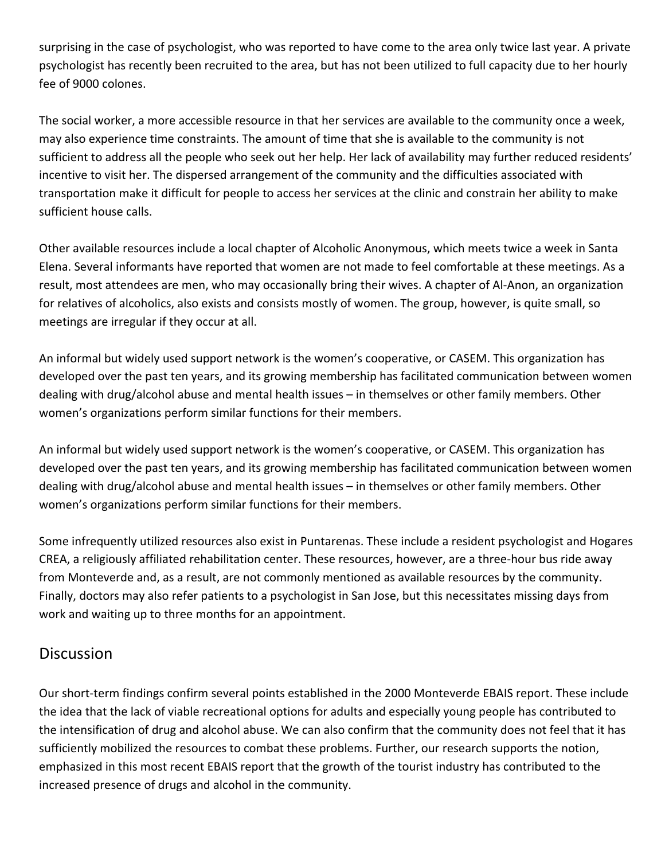surprising in the case of psychologist, who was reported to have come to the area only twice last year. A private psychologist has recently been recruited to the area, but has not been utilized to full capacity due to her hourly fee of 9000 colones.

The social worker, a more accessible resource in that her services are available to the community once a week, may also experience time constraints. The amount of time that she is available to the community is not sufficient to address all the people who seek out her help. Her lack of availability may further reduced residents' incentive to visit her. The dispersed arrangement of the community and the difficulties associated with transportation make it difficult for people to access her services at the clinic and constrain her ability to make sufficient house calls.

Other available resources include a local chapter of Alcoholic Anonymous, which meets twice a week in Santa Elena. Several informants have reported that women are not made to feel comfortable at these meetings. As a result, most attendees are men, who may occasionally bring their wives. A chapter of Al‐Anon, an organization for relatives of alcoholics, also exists and consists mostly of women. The group, however, is quite small, so meetings are irregular if they occur at all.

An informal but widely used support network is the women's cooperative, or CASEM. This organization has developed over the past ten years, and its growing membership has facilitated communication between women dealing with drug/alcohol abuse and mental health issues – in themselves or other family members. Other women's organizations perform similar functions for their members.

An informal but widely used support network is the women's cooperative, or CASEM. This organization has developed over the past ten years, and its growing membership has facilitated communication between women dealing with drug/alcohol abuse and mental health issues – in themselves or other family members. Other women's organizations perform similar functions for their members.

Some infrequently utilized resources also exist in Puntarenas. These include a resident psychologist and Hogares CREA, a religiously affiliated rehabilitation center. These resources, however, are a three‐hour bus ride away from Monteverde and, as a result, are not commonly mentioned as available resources by the community. Finally, doctors may also refer patients to a psychologist in San Jose, but this necessitates missing days from work and waiting up to three months for an appointment.

#### **Discussion**

Our short‐term findings confirm several points established in the 2000 Monteverde EBAIS report. These include the idea that the lack of viable recreational options for adults and especially young people has contributed to the intensification of drug and alcohol abuse. We can also confirm that the community does not feel that it has sufficiently mobilized the resources to combat these problems. Further, our research supports the notion, emphasized in this most recent EBAIS report that the growth of the tourist industry has contributed to the increased presence of drugs and alcohol in the community.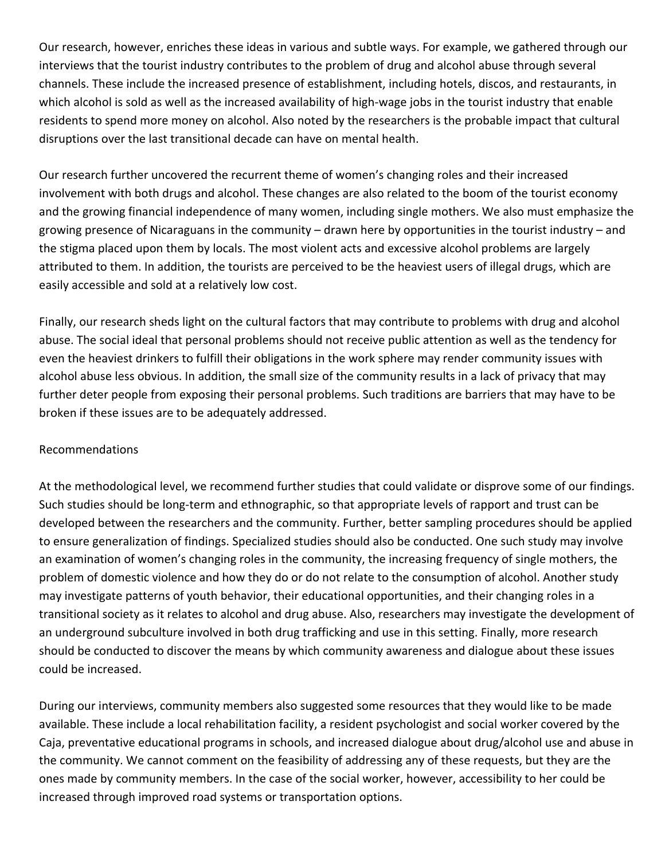Our research, however, enriches these ideas in various and subtle ways. For example, we gathered through our interviews that the tourist industry contributes to the problem of drug and alcohol abuse through several channels. These include the increased presence of establishment, including hotels, discos, and restaurants, in which alcohol is sold as well as the increased availability of high-wage jobs in the tourist industry that enable residents to spend more money on alcohol. Also noted by the researchers is the probable impact that cultural disruptions over the last transitional decade can have on mental health.

Our research further uncovered the recurrent theme of women's changing roles and their increased involvement with both drugs and alcohol. These changes are also related to the boom of the tourist economy and the growing financial independence of many women, including single mothers. We also must emphasize the growing presence of Nicaraguans in the community – drawn here by opportunities in the tourist industry – and the stigma placed upon them by locals. The most violent acts and excessive alcohol problems are largely attributed to them. In addition, the tourists are perceived to be the heaviest users of illegal drugs, which are easily accessible and sold at a relatively low cost.

Finally, our research sheds light on the cultural factors that may contribute to problems with drug and alcohol abuse. The social ideal that personal problems should not receive public attention as well as the tendency for even the heaviest drinkers to fulfill their obligations in the work sphere may render community issues with alcohol abuse less obvious. In addition, the small size of the community results in a lack of privacy that may further deter people from exposing their personal problems. Such traditions are barriers that may have to be broken if these issues are to be adequately addressed.

#### Recommendations

At the methodological level, we recommend further studies that could validate or disprove some of our findings. Such studies should be long‐term and ethnographic, so that appropriate levels of rapport and trust can be developed between the researchers and the community. Further, better sampling procedures should be applied to ensure generalization of findings. Specialized studies should also be conducted. One such study may involve an examination of women's changing roles in the community, the increasing frequency of single mothers, the problem of domestic violence and how they do or do not relate to the consumption of alcohol. Another study may investigate patterns of youth behavior, their educational opportunities, and their changing roles in a transitional society as it relates to alcohol and drug abuse. Also, researchers may investigate the development of an underground subculture involved in both drug trafficking and use in this setting. Finally, more research should be conducted to discover the means by which community awareness and dialogue about these issues could be increased.

During our interviews, community members also suggested some resources that they would like to be made available. These include a local rehabilitation facility, a resident psychologist and social worker covered by the Caja, preventative educational programs in schools, and increased dialogue about drug/alcohol use and abuse in the community. We cannot comment on the feasibility of addressing any of these requests, but they are the ones made by community members. In the case of the social worker, however, accessibility to her could be increased through improved road systems or transportation options.